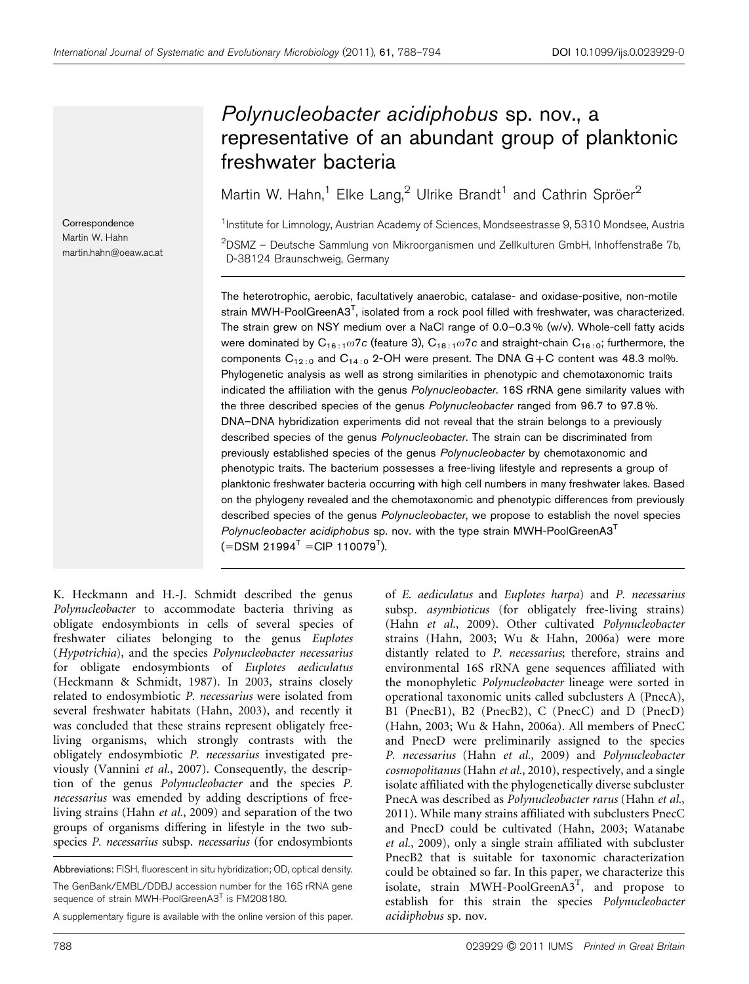# Polynucleobacter acidiphobus sp. nov., a representative of an abundant group of planktonic freshwater bacteria

Martin W. Hahn,<sup>1</sup> Elke Lang,<sup>2</sup> Ulrike Brandt<sup>1</sup> and Cathrin Spröer<sup>2</sup>

<sup>1</sup>Institute for Limnology, Austrian Academy of Sciences, Mondseestrasse 9, 5310 Mondsee, Austria <sup>2</sup>DSMZ – Deutsche Sammlung von Mikroorganismen und Zellkulturen GmbH, Inhoffenstraße 7b, D-38124 Braunschweig, Germany

The heterotrophic, aerobic, facultatively anaerobic, catalase- and oxidase-positive, non-motile strain MWH-PoolGreenA3<sup>T</sup>, isolated from a rock pool filled with freshwater, was characterized. The strain grew on NSY medium over a NaCl range of 0.0–0.3 % (w/v). Whole-cell fatty acids were dominated by  $C_{16,1} \omega 7c$  (feature 3),  $C_{18,1} \omega 7c$  and straight-chain  $C_{16,10}$ ; furthermore, the components  $C_{12:0}$  and  $C_{14:0}$  2-OH were present. The DNA  $G+C$  content was 48.3 mol%. Phylogenetic analysis as well as strong similarities in phenotypic and chemotaxonomic traits indicated the affiliation with the genus Polynucleobacter. 16S rRNA gene similarity values with the three described species of the genus *Polynucleobacter* ranged from 96.7 to 97.8%. DNA–DNA hybridization experiments did not reveal that the strain belongs to a previously described species of the genus Polynucleobacter. The strain can be discriminated from previously established species of the genus Polynucleobacter by chemotaxonomic and phenotypic traits. The bacterium possesses a free-living lifestyle and represents a group of planktonic freshwater bacteria occurring with high cell numbers in many freshwater lakes. Based on the phylogeny revealed and the chemotaxonomic and phenotypic differences from previously described species of the genus Polynucleobacter, we propose to establish the novel species Polynucleobacter acidiphobus sp. nov. with the type strain MWH-PoolGreenA3<sup>T</sup>  $(=\text{DSM } 21994^{\mathsf{T}} = \text{CIP } 110079^{\mathsf{T}}).$ 

K. Heckmann and H.-J. Schmidt described the genus Polynucleobacter to accommodate bacteria thriving as obligate endosymbionts in cells of several species of freshwater ciliates belonging to the genus Euplotes (Hypotrichia), and the species Polynucleobacter necessarius for obligate endosymbionts of Euplotes aediculatus [\(Heckmann & Schmidt, 1987](#page-6-0)). In 2003, strains closely related to endosymbiotic P. necessarius were isolated from several freshwater habitats ([Hahn, 2003](#page-6-0)), and recently it was concluded that these strains represent obligately freeliving organisms, which strongly contrasts with the obligately endosymbiotic P. necessarius investigated previously [\(Vannini](#page-6-0) et al., 2007). Consequently, the description of the genus Polynucleobacter and the species P. necessarius was emended by adding descriptions of freeliving strains (Hahn et al.[, 2009\)](#page-6-0) and separation of the two groups of organisms differing in lifestyle in the two subspecies P. necessarius subsp. necessarius (for endosymbionts

Abbreviations: FISH, fluorescent in situ hybridization; OD, optical density. The GenBank/EMBL/DDBJ accession number for the 16S rRNA gene sequence of strain MWH-PoolGreenA3<sup>T</sup> is FM208180.

A supplementary figure is available with the online version of this paper.

of E. aediculatus and Euplotes harpa) and P. necessarius subsp. asymbioticus (for obligately free-living strains) (Hahn et al.[, 2009](#page-6-0)). Other cultivated Polynucleobacter strains [\(Hahn, 2003; Wu & Hahn, 2006a\)](#page-6-0) were more distantly related to P. necessarius; therefore, strains and environmental 16S rRNA gene sequences affiliated with the monophyletic Polynucleobacter lineage were sorted in operational taxonomic units called subclusters A (PnecA), B1 (PnecB1), B2 (PnecB2), C (PnecC) and D (PnecD) [\(Hahn, 2003; Wu & Hahn, 2006a](#page-6-0)). All members of PnecC and PnecD were preliminarily assigned to the species P. necessarius (Hahn et al.[, 2009](#page-6-0)) and Polynucleobacter cosmopolitanus (Hahn et al.[, 2010\)](#page-6-0), respectively, and a single isolate affiliated with the phylogenetically diverse subcluster PnecA was described as Polynucleobacter rarus ([Hahn](#page-6-0) et al., [2011\)](#page-6-0). While many strains affiliated with subclusters PnecC and PnecD could be cultivated ([Hahn, 2003; Watanabe](#page-6-0) et al.[, 2009\)](#page-6-0), only a single strain affiliated with subcluster PnecB2 that is suitable for taxonomic characterization could be obtained so far. In this paper, we characterize this isolate, strain MWH-PoolGreenA3<sup>T</sup>, and propose to establish for this strain the species Polynucleobacter acidiphobus sp. nov.

**Correspondence** Martin W. Hahn martin.hahn@oeaw.ac.at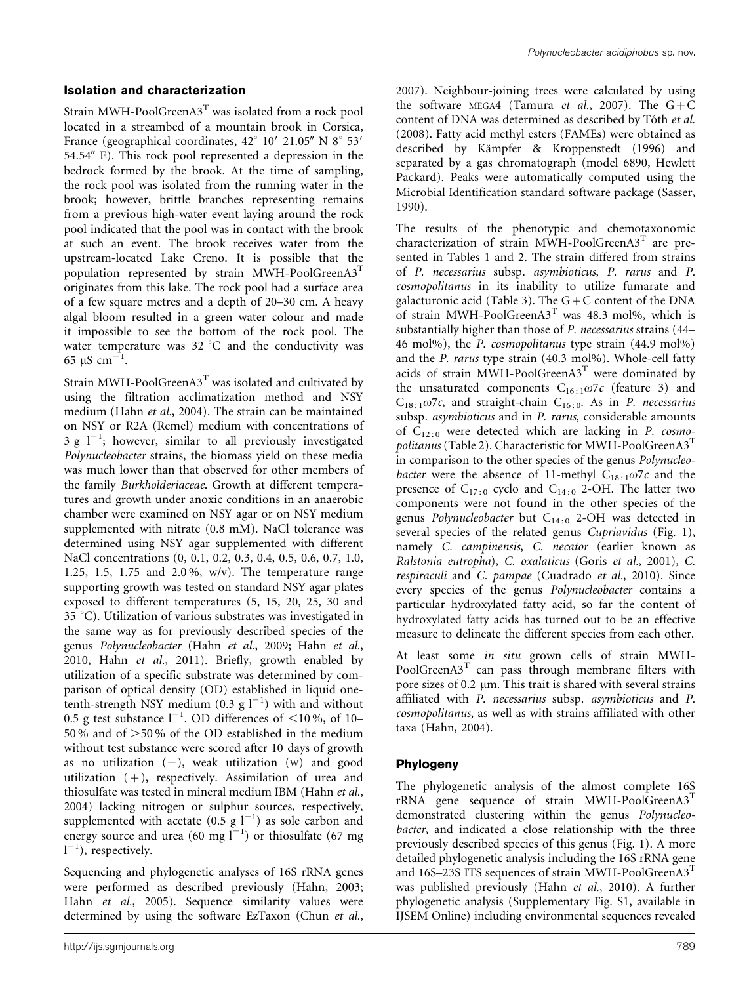### Isolation and characterization

Strain MWH-PoolGreen $A3<sup>T</sup>$  was isolated from a rock pool located in a streambed of a mountain brook in Corsica, France (geographical coordinates,  $42^{\circ}$  10' 21.05" N  $8^{\circ}$  53' 54.54" E). This rock pool represented a depression in the bedrock formed by the brook. At the time of sampling, the rock pool was isolated from the running water in the brook; however, brittle branches representing remains from a previous high-water event laying around the rock pool indicated that the pool was in contact with the brook at such an event. The brook receives water from the upstream-located Lake Creno. It is possible that the population represented by strain MWH-PoolGreenA3<sup>T</sup> originates from this lake. The rock pool had a surface area of a few square metres and a depth of 20–30 cm. A heavy algal bloom resulted in a green water colour and made it impossible to see the bottom of the rock pool. The water temperature was  $32^{\circ}$ C and the conductivity was 65 µS cm<sup>-1</sup>.

Strain MWH-PoolGreen $A3^T$  was isolated and cultivated by using the filtration acclimatization method and NSY medium (Hahn et al.[, 2004\)](#page-6-0). The strain can be maintained on NSY or R2A (Remel) medium with concentrations of 3 g  $1^{-1}$ ; however, similar to all previously investigated Polynucleobacter strains, the biomass yield on these media was much lower than that observed for other members of the family Burkholderiaceae. Growth at different temperatures and growth under anoxic conditions in an anaerobic chamber were examined on NSY agar or on NSY medium supplemented with nitrate (0.8 mM). NaCl tolerance was determined using NSY agar supplemented with different NaCl concentrations (0, 0.1, 0.2, 0.3, 0.4, 0.5, 0.6, 0.7, 1.0, 1.25, 1.5, 1.75 and 2.0 %, w/v). The temperature range supporting growth was tested on standard NSY agar plates exposed to different temperatures (5, 15, 20, 25, 30 and  $35 °C$ ). Utilization of various substrates was investigated in the same way as for previously described species of the genus Polynucleobacter (Hahn et al.[, 2009](#page-6-0); [Hahn](#page-6-0) et al., [2010,](#page-6-0) Hahn et al.[, 2011](#page-6-0)). Briefly, growth enabled by utilization of a specific substrate was determined by comparison of optical density (OD) established in liquid onetenth-strength NSY medium  $(0.3 \text{ g l}^{-1})$  with and without 0.5 g test substance  $l^{-1}$ . OD differences of <10%, of 10– 50 % and of  $>$  50 % of the OD established in the medium without test substance were scored after 10 days of growth as no utilization  $(-)$ , weak utilization  $(w)$  and good utilization  $(+)$ , respectively. Assimilation of urea and thiosulfate was tested in mineral medium IBM ([Hahn](#page-6-0) et al., [2004\)](#page-6-0) lacking nitrogen or sulphur sources, respectively, supplemented with acetate  $(0.5 \text{ g } 1^{-1})$  as sole carbon and energy source and urea (60 mg  $I^{-1}$ ) or thiosulfate (67 mg  $1^{-1}$ ), respectively.

Sequencing and phylogenetic analyses of 16S rRNA genes were performed as described previously ([Hahn, 2003;](#page-6-0) Hahn et al.[, 2005](#page-6-0)). Sequence similarity values were determined by using the software EzTaxon ([Chun](#page-6-0) et al.,

[2007\)](#page-6-0). Neighbour-joining trees were calculated by using the software MEGA4 [\(Tamura](#page-6-0) et al., 2007). The  $G+C$ content of DNA was determined as described by Tóth et al. [\(2008\)](#page-6-0). Fatty acid methyl esters (FAMEs) were obtained as described by Kämpfer & Kroppenstedt (1996) and separated by a gas chromatograph (model 6890, Hewlett Packard). Peaks were automatically computed using the Microbial Identification standard software package ([Sasser,](#page-6-0) [1990\)](#page-6-0).

The results of the phenotypic and chemotaxonomic characterization of strain MWH-PoolGreenA3<sup>T</sup> are presented in [Tables 1](#page-2-0) and [2.](#page-3-0) The strain differed from strains of P. necessarius subsp. asymbioticus, P. rarus and P. cosmopolitanus in its inability to utilize fumarate and galacturonic acid ([Table 3\)](#page-3-0). The  $G+C$  content of the DNA of strain MWH-PoolGreenA3<sup>T</sup> was 48.3 mol%, which is substantially higher than those of P. necessarius strains (44– 46 mol%), the P. cosmopolitanus type strain (44.9 mol%) and the P. rarus type strain (40.3 mol%). Whole-cell fatty acids of strain MWH-PoolGreenA3<sup>T</sup> were dominated by the unsaturated components  $C_{16:1}\omega$ 7c (feature 3) and  $C_{18:1} \omega$ 7c, and straight-chain  $C_{16:0}$ . As in P. necessarius subsp. *asymbioticus* and in *P. rarus*, considerable amounts of  $C_{12:0}$  were detected which are lacking in P. cosmo-politanus [\(Table 2](#page-3-0)). Characteristic for MWH-PoolGreenA3<sup>T</sup> in comparison to the other species of the genus Polynucleobacter were the absence of 11-methyl  $C_{18 \cdot 1007c}$  and the presence of  $C_{17:0}$  cyclo and  $C_{14:0}$  2-OH. The latter two components were not found in the other species of the genus Polynucleobacter but  $C_{14:0}$  2-OH was detected in several species of the related genus Cupriavidus ([Fig. 1\)](#page-4-0), namely C. campinensis, C. necator (earlier known as Ralstonia eutropha), C. oxalaticus (Goris et al.[, 2001\)](#page-6-0), C. respiraculi and C. pampae ([Cuadrado](#page-6-0) et al., 2010). Since every species of the genus Polynucleobacter contains a particular hydroxylated fatty acid, so far the content of hydroxylated fatty acids has turned out to be an effective measure to delineate the different species from each other.

At least some in situ grown cells of strain MWH-PoolGreenA3<sup>T</sup> can pass through membrane filters with pore sizes of  $0.2 \mu m$ . This trait is shared with several strains affiliated with P. necessarius subsp. asymbioticus and P. cosmopolitanus, as well as with strains affiliated with other taxa [\(Hahn, 2004\)](#page-6-0).

#### Phylogeny

The phylogenetic analysis of the almost complete 16S  $rRNA$  gene sequence of strain MWH-PoolGreenA3<sup>T</sup> demonstrated clustering within the genus Polynucleobacter, and indicated a close relationship with the three previously described species of this genus [\(Fig. 1\)](#page-4-0). A more detailed phylogenetic analysis including the 16S rRNA gene and 16S-23S ITS sequences of strain MWH-PoolGreenA3T was published previously (Hahn et al.[, 2010\)](#page-6-0). A further phylogenetic analysis (Supplementary Fig. S1, available in IJSEM Online) including environmental sequences revealed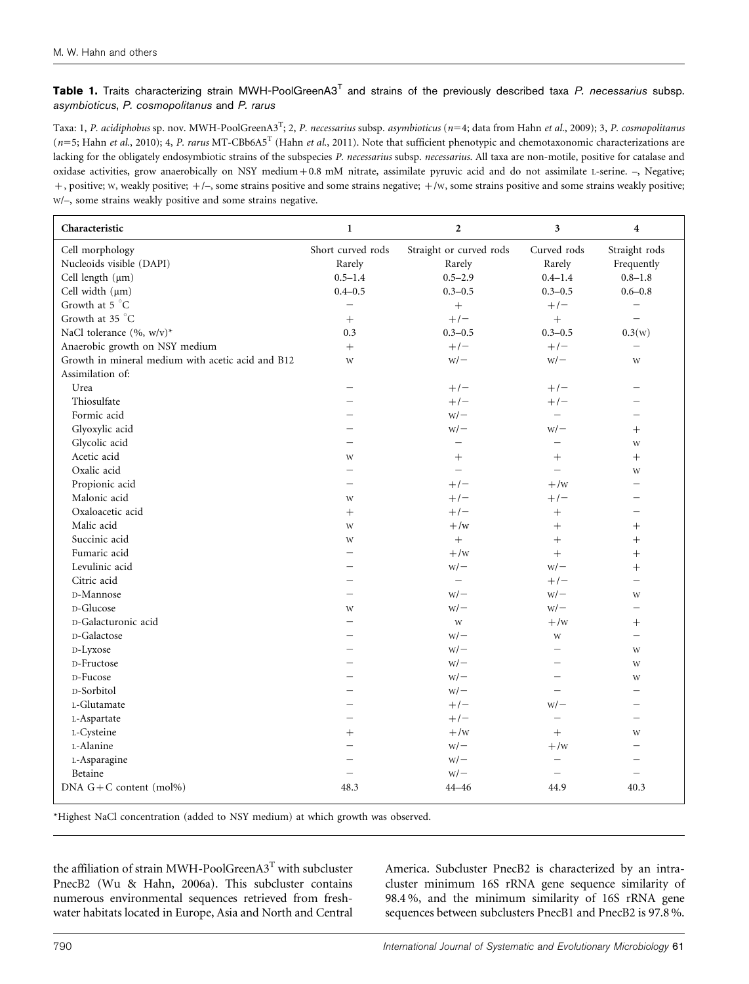<span id="page-2-0"></span>Table 1. Traits characterizing strain MWH-PoolGreenA3<sup>T</sup> and strains of the previously described taxa P. necessarius subsp. asymbioticus, P. cosmopolitanus and P. rarus

Taxa: 1, *P. acidiphobus* sp. nov. MWH-PoolGreenA3<sup>T</sup>; 2, *P. necessarius* subsp. *asymbioticus (n*=4; data from Hahn *et al.*[, 2009](#page-6-0)); 3, *P. cosmopolitanus*  $(n=5;$  Hahn et al.[, 2010\)](#page-6-0); 4, P. rarus MT-CBb6A5<sup>T</sup> (Hahn et al.[, 2011](#page-6-0)). Note that sufficient phenotypic and chemotaxonomic characterizations are lacking for the obligately endosymbiotic strains of the subspecies P. necessarius subsp. necessarius. All taxa are non-motile, positive for catalase and oxidase activities, grow anaerobically on NSY medium+0.8 mM nitrate, assimilate pyruvic acid and do not assimilate L-serine. –, Negative; +, positive; w, weakly positive; +/-, some strains positive and some strains negative; +/w, some strains positive and some strains weakly positive; W/–, some strains weakly positive and some strains negative.

| Characteristic                                    | $\mathbf{1}$             | $\mathbf{2}$             | 3                        | $\overline{\mathbf{4}}$  |
|---------------------------------------------------|--------------------------|--------------------------|--------------------------|--------------------------|
| Cell morphology                                   | Short curved rods        | Straight or curved rods  | Curved rods              | Straight rods            |
| Nucleoids visible (DAPI)                          | Rarely                   | Rarely                   | Rarely                   | Frequently               |
| Cell length $(\mu m)$                             | $0.5 - 1.4$              | $0.5 - 2.9$              | $0.4 - 1.4$              | $0.8 - 1.8$              |
| Cell width (µm)                                   | $0.4 - 0.5$              | $0.3 - 0.5$              | $0.3 - 0.5$              | $0.6 - 0.8$              |
| Growth at 5 °C                                    | $\equiv$                 | $\qquad \qquad +$        | $+/-$                    |                          |
| Growth at 35 °C                                   | $\boldsymbol{+}$         | $+/-$                    | $\qquad \qquad +$        | $\overline{\phantom{0}}$ |
| NaCl tolerance (%, w/v)*                          | 0.3                      | $0.3 - 0.5$              | $0.3 - 0.5$              | 0.3(w)                   |
| Anaerobic growth on NSY medium                    | $\boldsymbol{+}$         | $+/-$                    | $+/-$                    | $\qquad \qquad -$        |
| Growth in mineral medium with acetic acid and B12 | W                        | $W$ /-                   | $W$ /-                   | W                        |
| Assimilation of:                                  |                          |                          |                          |                          |
| Urea                                              |                          | $+/-$                    | $+/-$                    |                          |
| Thiosulfate                                       | Ξ.                       | $+/-$                    | $+/-$                    | $\overline{\phantom{0}}$ |
| Formic acid                                       | $\overline{\phantom{0}}$ | $W$ /-                   |                          | $\overline{\phantom{0}}$ |
| Glyoxylic acid                                    |                          | $W$ /-                   | $W$ / $-$                | $^{+}$                   |
| Glycolic acid                                     |                          |                          |                          | W                        |
| Acetic acid                                       | W                        | $^{+}$                   | $^{+}$                   | $+$                      |
| Oxalic acid                                       |                          | $\overline{\phantom{0}}$ | $\overline{\phantom{0}}$ | W                        |
| Propionic acid                                    |                          | $+/-$                    | $+$ /w                   | $\overline{\phantom{0}}$ |
| Malonic acid                                      | W                        | $+/-$                    | $+/-$                    |                          |
| Oxaloacetic acid                                  | $+$                      | $+/-$                    | $\! + \!$                |                          |
| Malic acid                                        | W                        | $+$ /w                   | $^{+}$                   |                          |
| Succinic acid                                     | W                        | $+$                      | $^{+}$                   |                          |
| Fumaric acid                                      |                          | $+/w$                    |                          | $\! + \!$                |
| Levulinic acid                                    |                          | $W$ /-                   | $W$ /-                   | $\qquad \qquad +$        |
| Citric acid                                       |                          | $\overline{\phantom{0}}$ | $+/-$                    | $\qquad \qquad -$        |
| D-Mannose                                         | ▃                        | $W$ / $-$                | $W$ /-                   | W                        |
| D-Glucose                                         | W                        | $W$ /-                   | $W$ /-                   | $\equiv$                 |
| D-Galacturonic acid                               |                          | W                        | $+$ /w                   | $^{+}$                   |
| D-Galactose                                       |                          | $W$ /-                   | W                        | $\overline{\phantom{0}}$ |
| D-Lyxose                                          |                          | $W$ /-                   | $\overline{\phantom{0}}$ | W                        |
| D-Fructose                                        | $\overline{\phantom{0}}$ | $W$ / $-$                |                          | W                        |
| D-Fucose                                          |                          | $W$ /-                   |                          | W                        |
| D-Sorbitol                                        |                          | $W$ /-                   |                          |                          |
| L-Glutamate                                       |                          | $+/-$                    | $W$ / $-$                |                          |
| L-Aspartate                                       | -                        | $+/-$                    |                          | $\equiv$                 |
| L-Cysteine                                        | $^{+}$                   | $+$ /w                   | $+$                      | W                        |
| L-Alanine                                         |                          | $W$ /-                   | $+$ /w                   |                          |
| L-Asparagine                                      |                          | $W$ /-                   | $\overline{\phantom{0}}$ |                          |
| Betaine                                           | $\overline{\phantom{0}}$ | $W$ /-                   | $\overline{\phantom{0}}$ | $\qquad \qquad -$        |
| DNA $G + C$ content (mol%)                        | 48.3                     | 44-46                    | 44.9                     | 40.3                     |

\*Highest NaCl concentration (added to NSY medium) at which growth was observed.

the affiliation of strain MWH-PoolGreenA3T with subcluster PnecB2 [\(Wu & Hahn, 2006a](#page-6-0)). This subcluster contains numerous environmental sequences retrieved from freshwater habitats located in Europe, Asia and North and Central

America. Subcluster PnecB2 is characterized by an intracluster minimum 16S rRNA gene sequence similarity of 98.4 %, and the minimum similarity of 16S rRNA gene sequences between subclusters PnecB1 and PnecB2 is 97.8 %.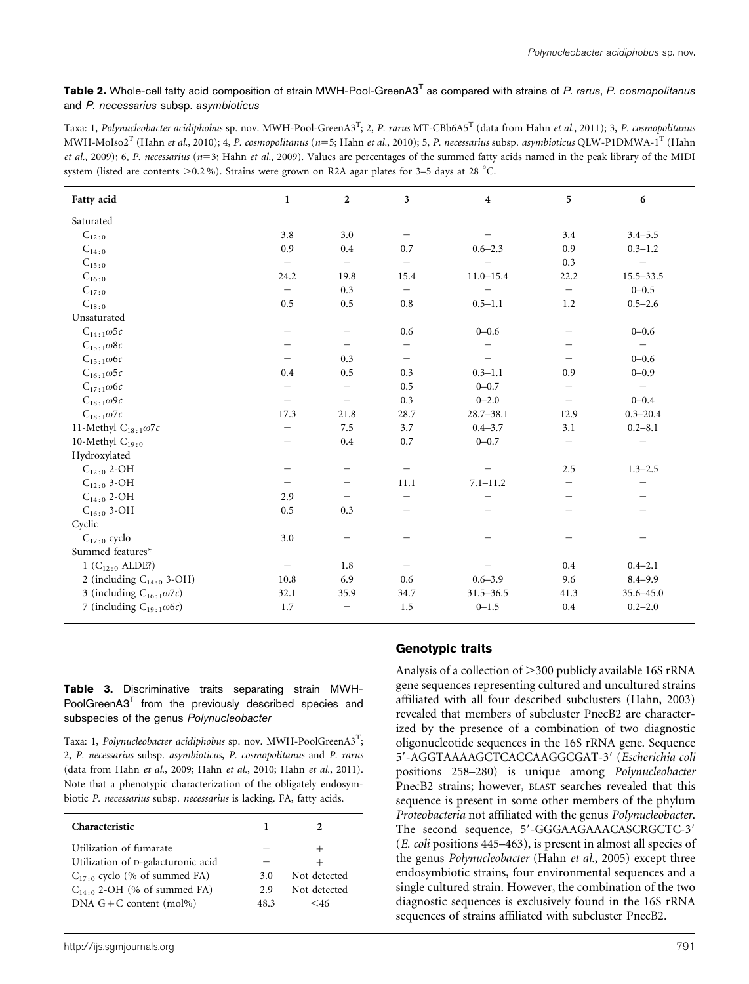<span id="page-3-0"></span>Table 2. Whole-cell fatty acid composition of strain MWH-Pool-GreenA3<sup>T</sup> as compared with strains of P. rarus, P. cosmopolitanus and P. necessarius subsp. asymbioticus

Taxa: 1, *Polynucleobacter acidiphobus* sp. nov. MWH-Pool-GreenA3<sup>T</sup>; 2, *P. rarus* MT-CBb6A5<sup>T</sup> (data from Hahn *et al*.[, 2011](#page-6-0)); 3, *P. cosmopolitanus* MWH-MoIso2<sup>T</sup> (Hahn et al.[, 2010\)](#page-6-0); 4, P. cosmopolitanus (n=5; Hahn et al.[, 2010](#page-6-0)); 5, P. necessarius subsp. asymbioticus QLW-P1DMWA-1<sup>T</sup> ([Hahn](#page-6-0) et al.[, 2009](#page-6-0)); 6, P. necessarius (n=3; Hahn et al.[, 2009\)](#page-6-0). Values are percentages of the summed fatty acids named in the peak library of the MIDI system (listed are contents  $> 0.2 %$ ). Strains were grown on R2A agar plates for 3–5 days at 28 °C.

| Fatty acid                        | $\mathbf{1}$             | $\overline{2}$           | 3                        | $\overline{\mathbf{4}}$ | 5    | 6                        |
|-----------------------------------|--------------------------|--------------------------|--------------------------|-------------------------|------|--------------------------|
| Saturated                         |                          |                          |                          |                         |      |                          |
| $C_{12:0}$                        | 3.8                      | 3.0                      |                          |                         | 3.4  | $3.4 - 5.5$              |
| $\mathrm{C}_{14\,:\,0}$           | 0.9                      | 0.4                      | 0.7                      | $0.6 - 2.3$             | 0.9  | $0.3 - 1.2$              |
| $C_{15:0}$                        | $\qquad \qquad -$        | $\overline{\phantom{m}}$ |                          |                         | 0.3  |                          |
| $C_{16:0}$                        | 24.2                     | 19.8                     | 15.4                     | $11.0 - 15.4$           | 22.2 | $15.5 - 33.5$            |
| $C_{17:0}$                        |                          | 0.3                      |                          |                         |      | $0 - 0.5$                |
| $C_{18:0}$                        | 0.5                      | 0.5                      | 0.8                      | $0.5 - 1.1$             | 1.2  | $0.5 - 2.6$              |
| Unsaturated                       |                          |                          |                          |                         |      |                          |
| $C_{14:1}\omega$ 5c               |                          | $\qquad \qquad -$        | 0.6                      | $0 - 0.6$               |      | $0 - 0.6$                |
| $C_{15:1}\omega$ 8c               |                          |                          |                          |                         |      | $\overline{\phantom{m}}$ |
| $C_{15:1}\omega$ 6c               |                          | 0.3                      | $\overline{\phantom{0}}$ |                         |      | $0 - 0.6$                |
| $C_{16\div 1} \omega 5c$          | 0.4                      | 0.5                      | 0.3                      | $0.3 - 1.1$             | 0.9  | $0 - 0.9$                |
| $C_{17:1}\omega$ 6c               | $\overline{\phantom{0}}$ | $\overline{\phantom{0}}$ | 0.5                      | $0 - 0.7$               |      | $\equiv$                 |
| $C_{18:1}\omega$ 9c               |                          | $\overline{\phantom{0}}$ | 0.3                      | $0 - 2.0$               |      | $0 - 0.4$                |
| $C_{18:1}\omega$ 7c               | 17.3                     | 21.8                     | 28.7                     | $28.7 - 38.1$           | 12.9 | $0.3 - 20.4$             |
| 11-Methyl $C_{18:1}\omega$ 7c     |                          | 7.5                      | 3.7                      | $0.4 - 3.7$             | 3.1  | $0.2 - 8.1$              |
| 10-Methyl $C_{19:0}$              |                          | 0.4                      | 0.7                      | $0 - 0.7$               |      |                          |
| Hydroxylated                      |                          |                          |                          |                         |      |                          |
| $C_{12:0}$ 2-OH                   |                          | $\qquad \qquad -$        |                          |                         | 2.5  | $1.3 - 2.5$              |
| $C_{12:0}$ 3-OH                   |                          | $\qquad \qquad$          | 11.1                     | $7.1 - 11.2$            |      |                          |
| $C_{14:0}$ 2-OH                   | 2.9                      | $\qquad \qquad -$        |                          |                         |      |                          |
| $C_{16:0}$ 3-OH                   | 0.5                      | 0.3                      |                          |                         |      |                          |
| Cyclic                            |                          |                          |                          |                         |      |                          |
| $C_{17:0}$ cyclo                  | 3.0                      | $\qquad \qquad -$        |                          |                         |      |                          |
| Summed features*                  |                          |                          |                          |                         |      |                          |
| 1 ( $C_{12:0}$ ALDE?)             | $\qquad \qquad -$        | 1.8                      |                          |                         | 0.4  | $0.4 - 2.1$              |
| 2 (including $C_{14:0}$ 3-OH)     | 10.8                     | 6.9                      | 0.6                      | $0.6 - 3.9$             | 9.6  | $8.4 - 9.9$              |
| 3 (including $C_{16:1}\omega$ 7c) | 32.1                     | 35.9                     | 34.7                     | $31.5 - 36.5$           | 41.3 | 35.6-45.0                |
| 7 (including $C_{19:1}\omega$ 6c) | 1.7                      |                          | 1.5                      | $0 - 1.5$               | 0.4  | $0.2 - 2.0$              |

Table 3. Discriminative traits separating strain MWH- $PoolGreenA3<sup>T</sup>$  from the previously described species and subspecies of the genus Polynucleobacter

Taxa: 1, *Polynucleobacter acidiphobus s*p. nov. MWH-PoolGreenA3<sup>T</sup>; 2, P. necessarius subsp. asymbioticus, P. cosmopolitanus and P. rarus (data from Hahn et al.[, 2009](#page-6-0); Hahn et al.[, 2010;](#page-6-0) Hahn et al.[, 2011\)](#page-6-0). Note that a phenotypic characterization of the obligately endosymbiotic P. necessarius subsp. necessarius is lacking. FA, fatty acids.

| Characteristic                     |      |              |
|------------------------------------|------|--------------|
| Utilization of fumarate            |      |              |
| Utilization of D-galacturonic acid |      |              |
| $C_{17:0}$ cyclo (% of summed FA)  | 3.0  | Not detected |
| $C_{14:0}$ 2-OH (% of summed FA)   | 2.9  | Not detected |
| DNA $G + C$ content (mol%)         | 48.3 | $<$ 46       |

#### Genotypic traits

Analysis of a collection of  $>$ 300 publicly available 16S rRNA gene sequences representing cultured and uncultured strains affiliated with all four described subclusters [\(Hahn, 2003](#page-6-0)) revealed that members of subcluster PnecB2 are characterized by the presence of a combination of two diagnostic oligonucleotide sequences in the 16S rRNA gene. Sequence 5'-AGGTAAAAGCTCACCAAGGCGAT-3' (Escherichia coli positions 258–280) is unique among Polynucleobacter PnecB2 strains; however, BLAST searches revealed that this sequence is present in some other members of the phylum Proteobacteria not affiliated with the genus Polynucleobacter. The second sequence, 5'-GGGAAGAAACASCRGCTC-3' (E. coli positions 445–463), is present in almost all species of the genus Polynucleobacter (Hahn et al.[, 2005](#page-6-0)) except three endosymbiotic strains, four environmental sequences and a single cultured strain. However, the combination of the two diagnostic sequences is exclusively found in the 16S rRNA sequences of strains affiliated with subcluster PnecB2.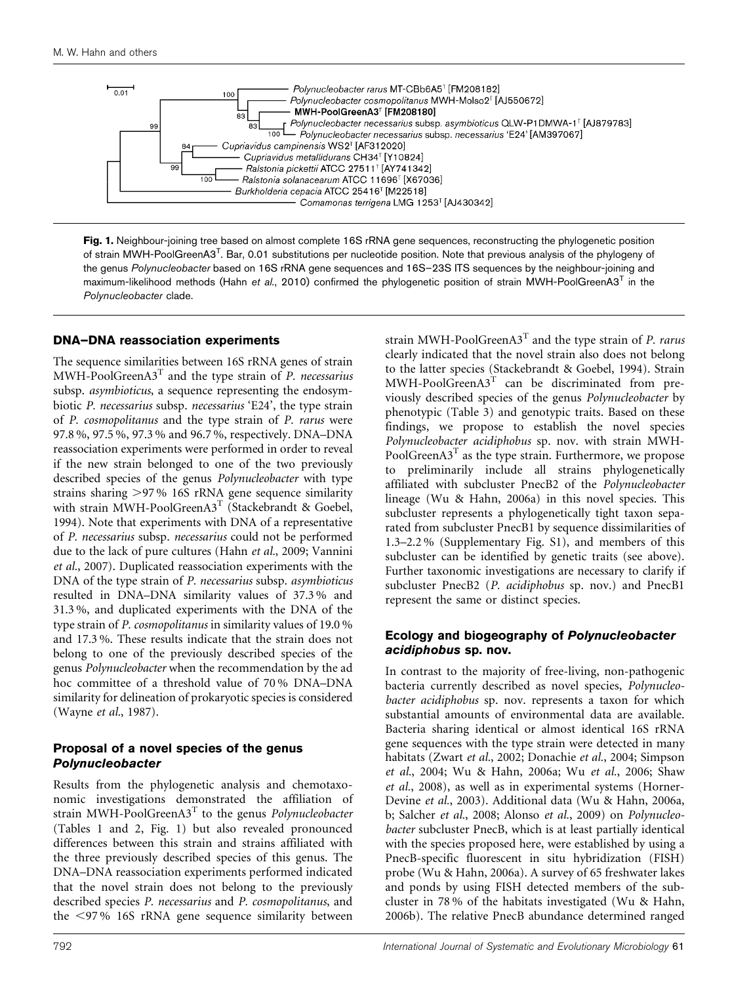<span id="page-4-0"></span>

Fig. 1. Neighbour-joining tree based on almost complete 16S rRNA gene sequences, reconstructing the phylogenetic position of strain MWH-PoolGreenA3<sup>T</sup>. Bar, 0.01 substitutions per nucleotide position. Note that previous analysis of the phylogeny of the genus Polynucleobacter based on 16S rRNA gene sequences and 16S-23S ITS sequences by the neighbour-joining and maximum-likelihood methods (Hahn et al.[, 2010](#page-6-0)) confirmed the phylogenetic position of strain MWH-PoolGreenA3<sup>T</sup> in the Polynucleobacter clade.

#### DNA–DNA reassociation experiments

The sequence similarities between 16S rRNA genes of strain  $MWH-PoolGreenA3<sup>T</sup>$  and the type strain of *P. necessarius* subsp. asymbioticus, a sequence representing the endosymbiotic P. necessarius subsp. necessarius 'E24', the type strain of P. cosmopolitanus and the type strain of P. rarus were 97.8 %, 97.5 %, 97.3 % and 96.7 %, respectively. DNA–DNA reassociation experiments were performed in order to reveal if the new strain belonged to one of the two previously described species of the genus Polynucleobacter with type strains sharing >97% 16S rRNA gene sequence similarity with strain MWH-PoolGreenA3<sup>T</sup> [\(Stackebrandt & Goebel,](#page-6-0) [1994](#page-6-0)). Note that experiments with DNA of a representative of P. necessarius subsp. necessarius could not be performed due to the lack of pure cultures (Hahn et al.[, 2009; Vannini](#page-6-0) et al.[, 2007\)](#page-6-0). Duplicated reassociation experiments with the DNA of the type strain of P. necessarius subsp. asymbioticus resulted in DNA–DNA similarity values of 37.3 % and 31.3 %, and duplicated experiments with the DNA of the type strain of P. cosmopolitanus in similarity values of 19.0 % and 17.3 %. These results indicate that the strain does not belong to one of the previously described species of the genus Polynucleobacter when the recommendation by the ad hoc committee of a threshold value of 70 % DNA–DNA similarity for delineation of prokaryotic species is considered [\(Wayne](#page-6-0) et al., 1987).

#### Proposal of a novel species of the genus Polynucleobacter

Results from the phylogenetic analysis and chemotaxonomic investigations demonstrated the affiliation of strain MWH-PoolGreenA3<sup>T</sup> to the genus Polynucleobacter [\(Tables 1](#page-2-0) and [2](#page-3-0), Fig. 1) but also revealed pronounced differences between this strain and strains affiliated with the three previously described species of this genus. The DNA–DNA reassociation experiments performed indicated that the novel strain does not belong to the previously described species P. necessarius and P. cosmopolitanus, and the  $\langle 97\%$  16S rRNA gene sequence similarity between

strain MWH-PoolGreenA3<sup>T</sup> and the type strain of P. rarus clearly indicated that the novel strain also does not belong to the latter species [\(Stackebrandt & Goebel, 1994](#page-6-0)). Strain  $MWH-PoolGreenA3<sup>T</sup>$  can be discriminated from previously described species of the genus Polynucleobacter by phenotypic ([Table 3\)](#page-3-0) and genotypic traits. Based on these findings, we propose to establish the novel species Polynucleobacter acidiphobus sp. nov. with strain MWH-PoolGreen $A3<sup>T</sup>$  as the type strain. Furthermore, we propose to preliminarily include all strains phylogenetically affiliated with subcluster PnecB2 of the Polynucleobacter lineage [\(Wu & Hahn, 2006a](#page-6-0)) in this novel species. This subcluster represents a phylogenetically tight taxon separated from subcluster PnecB1 by sequence dissimilarities of 1.3–2.2 % (Supplementary Fig. S1), and members of this subcluster can be identified by genetic traits (see above). Further taxonomic investigations are necessary to clarify if subcluster PnecB2 (P. acidiphobus sp. nov.) and PnecB1 represent the same or distinct species.

#### Ecology and biogeography of Polynucleobacter acidiphobus sp. nov.

In contrast to the majority of free-living, non-pathogenic bacteria currently described as novel species, Polynucleobacter acidiphobus sp. nov. represents a taxon for which substantial amounts of environmental data are available. Bacteria sharing identical or almost identical 16S rRNA gene sequences with the type strain were detected in many habitats [\(Zwart](#page-6-0) et al., 2002; [Donachie](#page-6-0) et al., 2004; [Simpson](#page-6-0) et al.[, 2004](#page-6-0); [Wu & Hahn, 2006a;](#page-6-0) Wu et al.[, 2006](#page-6-0); [Shaw](#page-6-0) et al.[, 2008\)](#page-6-0), as well as in experimental systems [\(Horner-](#page-6-0)[Devine](#page-6-0) et al., 2003). Additional data ([Wu & Hahn, 2006a](#page-6-0), [b](#page-6-0); [Salcher](#page-6-0) et al., 2008; [Alonso](#page-5-0) et al., 2009) on Polynucleobacter subcluster PnecB, which is at least partially identical with the species proposed here, were established by using a PnecB-specific fluorescent in situ hybridization (FISH) probe ([Wu & Hahn, 2006a](#page-6-0)). A survey of 65 freshwater lakes and ponds by using FISH detected members of the subcluster in 78 % of the habitats investigated [\(Wu & Hahn,](#page-6-0) [2006b\)](#page-6-0). The relative PnecB abundance determined ranged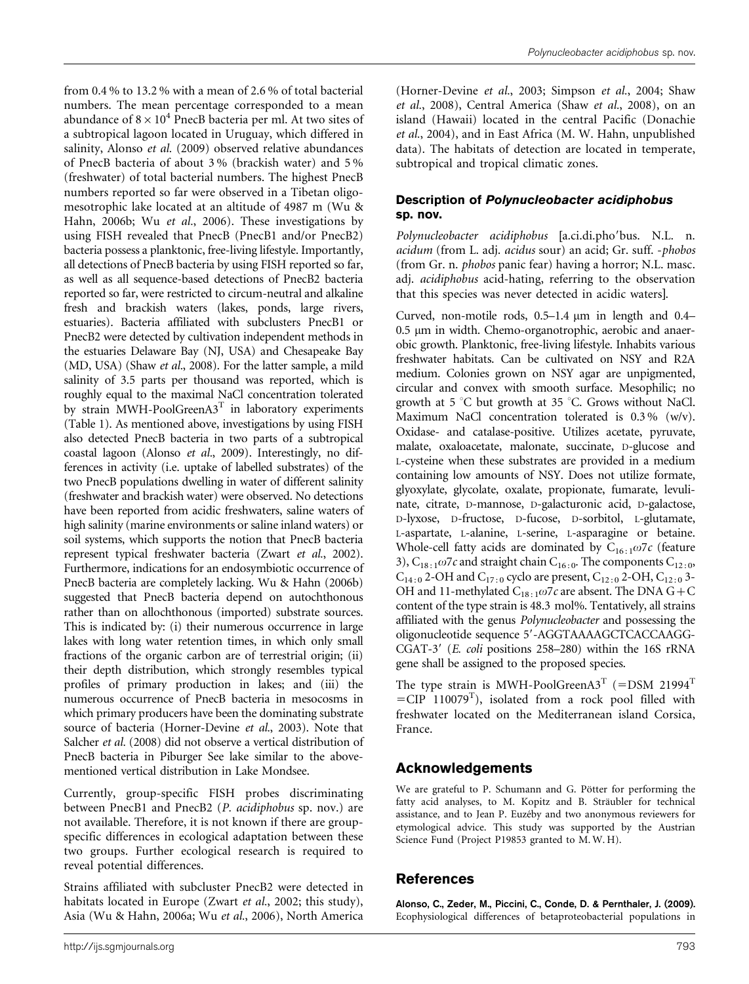<span id="page-5-0"></span>from 0.4 % to 13.2 % with a mean of 2.6 % of total bacterial numbers. The mean percentage corresponded to a mean abundance of  $8 \times 10^4$  PnecB bacteria per ml. At two sites of a subtropical lagoon located in Uruguay, which differed in salinity, Alonso et al. (2009) observed relative abundances of PnecB bacteria of about 3 % (brackish water) and 5 % (freshwater) of total bacterial numbers. The highest PnecB numbers reported so far were observed in a Tibetan oligomesotrophic lake located at an altitude of 4987 m ([Wu &](#page-6-0) [Hahn, 2006b](#page-6-0); Wu et al.[, 2006](#page-6-0)). These investigations by using FISH revealed that PnecB (PnecB1 and/or PnecB2) bacteria possess a planktonic, free-living lifestyle. Importantly, all detections of PnecB bacteria by using FISH reported so far, as well as all sequence-based detections of PnecB2 bacteria reported so far, were restricted to circum-neutral and alkaline fresh and brackish waters (lakes, ponds, large rivers, estuaries). Bacteria affiliated with subclusters PnecB1 or PnecB2 were detected by cultivation independent methods in the estuaries Delaware Bay (NJ, USA) and Chesapeake Bay (MD, USA) (Shaw et al.[, 2008\)](#page-6-0). For the latter sample, a mild salinity of 3.5 parts per thousand was reported, which is roughly equal to the maximal NaCl concentration tolerated by strain MWH-PoolGreenA3<sup>T</sup> in laboratory experiments [\(Table 1](#page-2-0)). As mentioned above, investigations by using FISH also detected PnecB bacteria in two parts of a subtropical coastal lagoon (Alonso et al., 2009). Interestingly, no differences in activity (i.e. uptake of labelled substrates) of the two PnecB populations dwelling in water of different salinity (freshwater and brackish water) were observed. No detections have been reported from acidic freshwaters, saline waters of high salinity (marine environments or saline inland waters) or soil systems, which supports the notion that PnecB bacteria represent typical freshwater bacteria (Zwart et al.[, 2002\)](#page-6-0). Furthermore, indications for an endosymbiotic occurrence of PnecB bacteria are completely lacking. [Wu & Hahn \(2006b\)](#page-6-0) suggested that PnecB bacteria depend on autochthonous rather than on allochthonous (imported) substrate sources. This is indicated by: (i) their numerous occurrence in large lakes with long water retention times, in which only small fractions of the organic carbon are of terrestrial origin; (ii) their depth distribution, which strongly resembles typical profiles of primary production in lakes; and (iii) the numerous occurrence of PnecB bacteria in mesocosms in which primary producers have been the dominating substrate source of bacteria ([Horner-Devine](#page-6-0) et al., 2003). Note that [Salcher](#page-6-0) et al. (2008) did not observe a vertical distribution of PnecB bacteria in Piburger See lake similar to the abovementioned vertical distribution in Lake Mondsee.

Currently, group-specific FISH probes discriminating between PnecB1 and PnecB2 (P. acidiphobus sp. nov.) are not available. Therefore, it is not known if there are groupspecific differences in ecological adaptation between these two groups. Further ecological research is required to reveal potential differences.

Strains affiliated with subcluster PnecB2 were detected in habitats located in Europe (Zwart et al.[, 2002](#page-6-0); this study), Asia [\(Wu & Hahn, 2006a;](#page-6-0) Wu et al.[, 2006](#page-6-0)), North America

([Horner-Devine](#page-6-0) et al., 2003; [Simpson](#page-6-0) et al., 2004; [Shaw](#page-6-0) et al.[, 2008](#page-6-0)), Central America (Shaw et al.[, 2008](#page-6-0)), on an island (Hawaii) located in the central Pacific [\(Donachie](#page-6-0) et al.[, 2004](#page-6-0)), and in East Africa (M. W. Hahn, unpublished data). The habitats of detection are located in temperate, subtropical and tropical climatic zones.

#### Description of Polynucleobacter acidiphobus sp. nov.

Polynucleobacter acidiphobus [a.ci.di.pho'bus. N.L. n. acidum (from L. adj. acidus sour) an acid; Gr. suff. -phobos (from Gr. n. phobos panic fear) having a horror; N.L. masc. adj. acidiphobus acid-hating, referring to the observation that this species was never detected in acidic waters].

Curved, non-motile rods,  $0.5-1.4 \mu m$  in length and  $0.4 0.5 \mu m$  in width. Chemo-organotrophic, aerobic and anaerobic growth. Planktonic, free-living lifestyle. Inhabits various freshwater habitats. Can be cultivated on NSY and R2A medium. Colonies grown on NSY agar are unpigmented, circular and convex with smooth surface. Mesophilic; no growth at  $5^{\circ}$ C but growth at  $35^{\circ}$ C. Grows without NaCl. Maximum NaCl concentration tolerated is 0.3 % (w/v). Oxidase- and catalase-positive. Utilizes acetate, pyruvate, malate, oxaloacetate, malonate, succinate, D-glucose and L-cysteine when these substrates are provided in a medium containing low amounts of NSY. Does not utilize formate, glyoxylate, glycolate, oxalate, propionate, fumarate, levulinate, citrate, D-mannose, D-galacturonic acid, D-galactose, D-lyxose, D-fructose, D-fucose, D-sorbitol, L-glutamate, L-aspartate, L-alanine, L-serine, L-asparagine or betaine. Whole-cell fatty acids are dominated by  $C_{16:1}\omega$ 7c (feature 3),  $C_{18:1}\omega$ 7*c* and straight chain  $C_{16:0}$ . The components  $C_{12:0}$ ,  $C_{14:0}$  2-OH and  $C_{17:0}$  cyclo are present,  $C_{12:0}$  2-OH,  $C_{12:0}$  3-OH and 11-methylated  $C_{18:1}\omega$ 7c are absent. The DNA G+C content of the type strain is 48.3 mol%. Tentatively, all strains affiliated with the genus Polynucleobacter and possessing the oligonucleotide sequence 5'-AGGTAAAAGCTCACCAAGG-CGAT-3' (E. coli positions 258-280) within the 16S rRNA gene shall be assigned to the proposed species.

The type strain is MWH-PoolGreenA3<sup>T</sup> (=DSM 21994<sup>T</sup>)  $=$ CIP 110079<sup>T</sup>), isolated from a rock pool filled with freshwater located on the Mediterranean island Corsica, France.

## Acknowledgements

We are grateful to P. Schumann and G. Pötter for performing the fatty acid analyses, to M. Kopitz and B. Sträubler for technical assistance, and to Jean P. Euzéby and two anonymous reviewers for etymological advice. This study was supported by the Austrian Science Fund (Project P19853 granted to M. W. H).

## References

Alonso, C., Zeder, M., Piccini, C., Conde, D. & Pernthaler, J. (2009). Ecophysiological differences of betaproteobacterial populations in